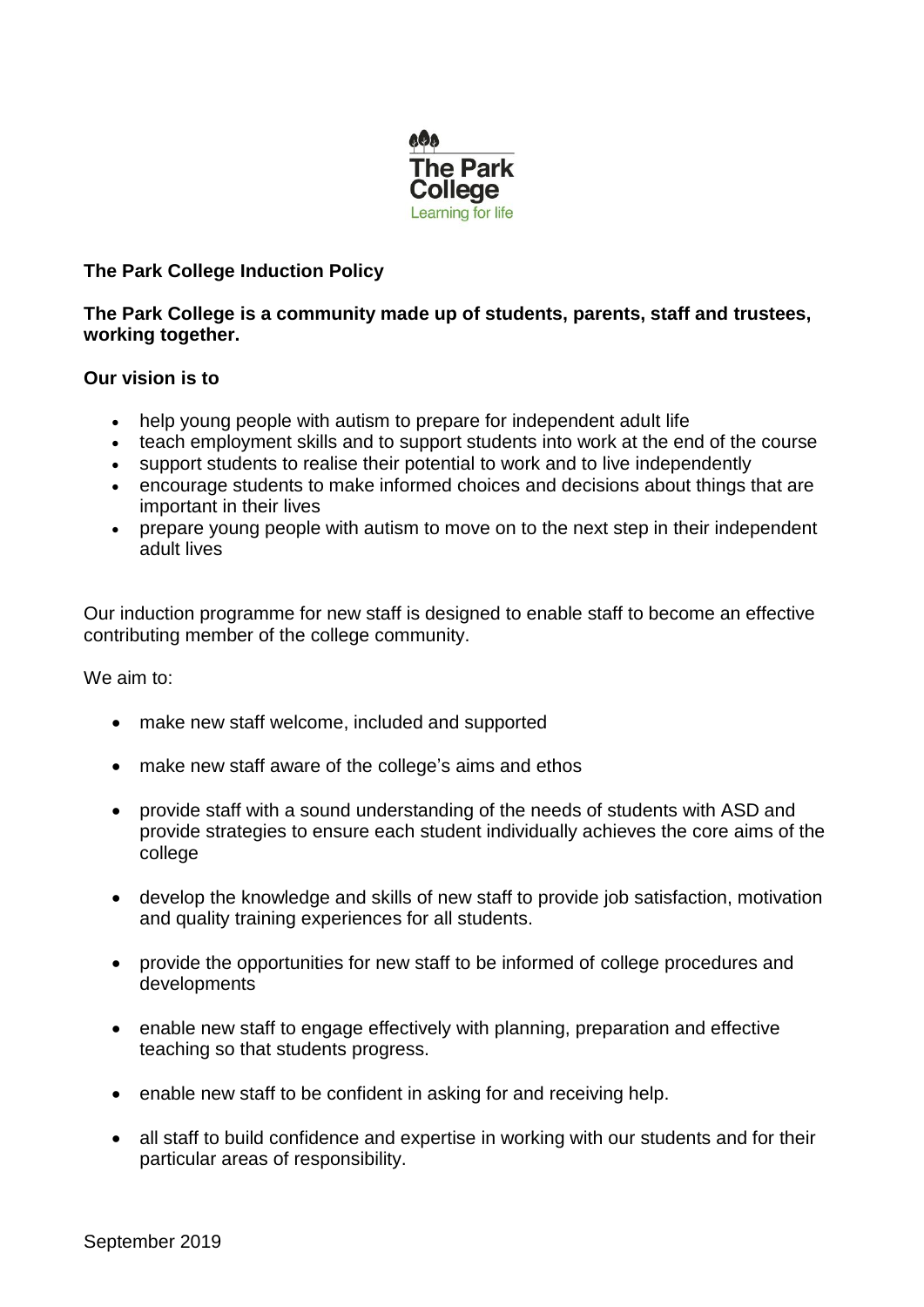

# **The Park College Induction Policy**

## **The Park College is a community made up of students, parents, staff and trustees, working together.**

## **Our vision is to**

- help young people with autism to prepare for independent adult life
- teach employment skills and to support students into work at the end of the course
- support students to realise their potential to work and to live independently
- encourage students to make informed choices and decisions about things that are important in their lives
- prepare young people with autism to move on to the next step in their independent adult lives

Our induction programme for new staff is designed to enable staff to become an effective contributing member of the college community.

We aim to:

- make new staff welcome, included and supported
- make new staff aware of the college's aims and ethos
- provide staff with a sound understanding of the needs of students with ASD and provide strategies to ensure each student individually achieves the core aims of the college
- develop the knowledge and skills of new staff to provide job satisfaction, motivation and quality training experiences for all students.
- provide the opportunities for new staff to be informed of college procedures and developments
- enable new staff to engage effectively with planning, preparation and effective teaching so that students progress.
- enable new staff to be confident in asking for and receiving help.
- all staff to build confidence and expertise in working with our students and for their particular areas of responsibility.